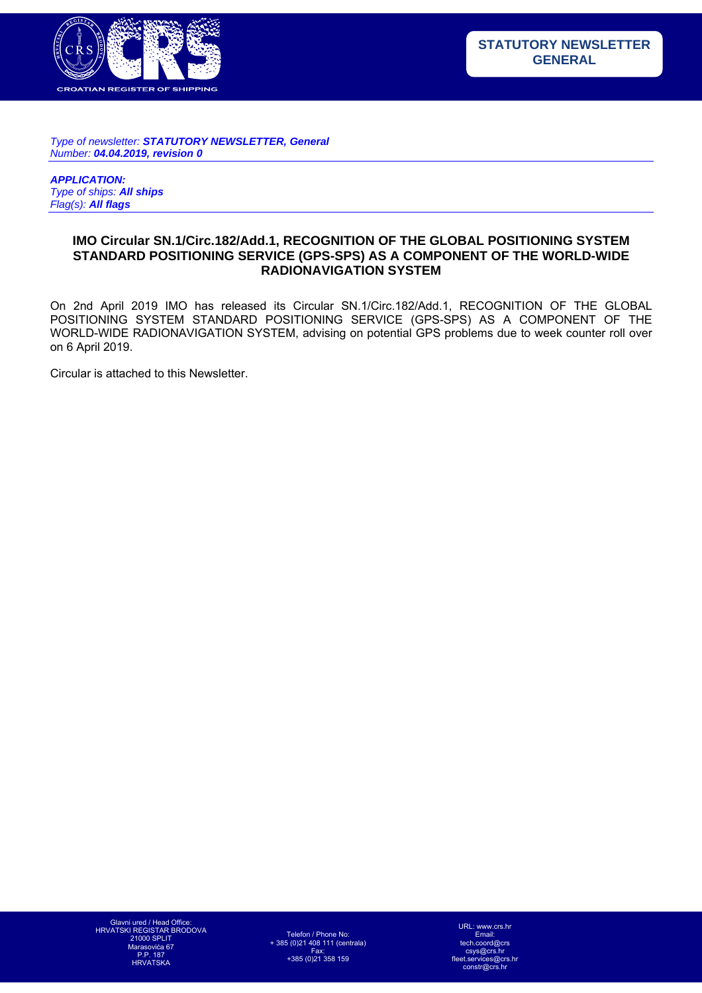

*Type of newsletter: STATUTORY NEWSLETTER, General Number: 04.04.2019, revision 0* 

*APPLICATION: Type of ships: All ships Flag(s): All flags*

## **IMO Circular SN.1/Circ.182/Add.1, RECOGNITION OF THE GLOBAL POSITIONING SYSTEM STANDARD POSITIONING SERVICE (GPS-SPS) AS A COMPONENT OF THE WORLD-WIDE RADIONAVIGATION SYSTEM**

On 2nd April 2019 IMO has released its Circular SN.1/Circ.182/Add.1, RECOGNITION OF THE GLOBAL POSITIONING SYSTEM STANDARD POSITIONING SERVICE (GPS-SPS) AS A COMPONENT OF THE WORLD-WIDE RADIONAVIGATION SYSTEM, advising on potential GPS problems due to week counter roll over on 6 April 2019.

Circular is attached to this Newsletter.

Telefon / Phone No: + 385 (0)21 408 111 (centrala) Fax: +385 (0)21 358 159

URL: www.crs.hr Email: tech.coord@crs csys@crs.hr fleet.services@crs.hr constr@crs.hr